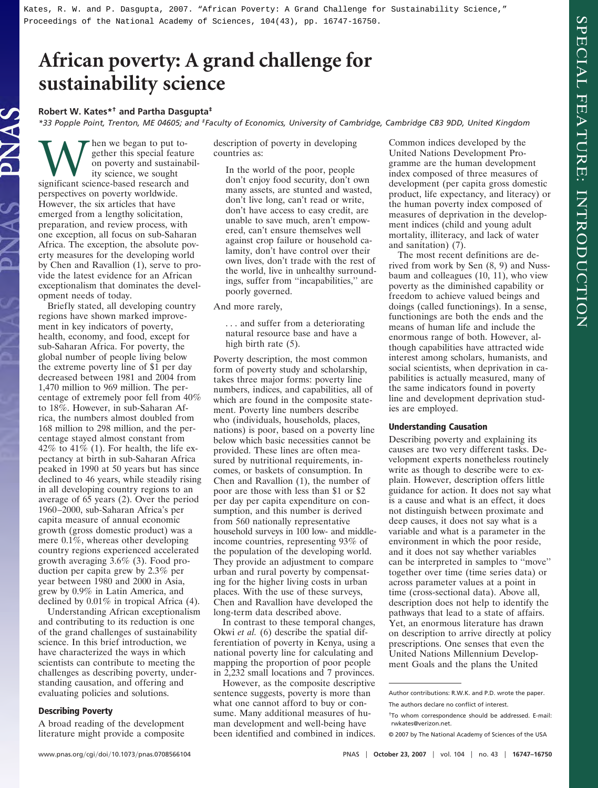# **African poverty: A grand challenge for sustainability science**

## **Robert W. Kates\*† and Partha Dasgupta‡**

*\*33 Popple Point, Trenton, ME 04605; and ‡Faculty of Economics, University of Cambridge, Cambridge CB3 9DD, United Kingdom*

When we began to put to-<br>gether this special feature<br>on poverty and sustainal<br>significant science-based research and gether this special feature on poverty and sustainability science, we sought perspectives on poverty worldwide. However, the six articles that have emerged from a lengthy solicitation, preparation, and review process, with one exception, all focus on sub-Saharan Africa. The exception, the absolute poverty measures for the developing world by Chen and Ravallion (1), serve to provide the latest evidence for an African exceptionalism that dominates the development needs of today.

Briefly stated, all developing country regions have shown marked improvement in key indicators of poverty, health, economy, and food, except for sub-Saharan Africa. For poverty, the global number of people living below the extreme poverty line of \$1 per day decreased between 1981 and 2004 from 1,470 million to 969 million. The percentage of extremely poor fell from 40% to 18%. However, in sub-Saharan Africa, the numbers almost doubled from 168 million to 298 million, and the percentage stayed almost constant from 42% to 41% (1). For health, the life expectancy at birth in sub-Saharan Africa peaked in 1990 at 50 years but has since declined to 46 years, while steadily rising in all developing country regions to an average of 65 years (2). Over the period 1960–2000, sub-Saharan Africa's per capita measure of annual economic growth (gross domestic product) was a mere 0.1%, whereas other developing country regions experienced accelerated growth averaging 3.6% (3). Food production per capita grew by 2.3% per year between 1980 and 2000 in Asia, grew by 0.9% in Latin America, and declined by 0.01% in tropical Africa (4).

Understanding African exceptionalism and contributing to its reduction is one of the grand challenges of sustainability science. In this brief introduction, we have characterized the ways in which scientists can contribute to meeting the challenges as describing poverty, understanding causation, and offering and evaluating policies and solutions.

## **Describing Poverty**

A broad reading of the development literature might provide a composite description of poverty in developing countries as:

In the world of the poor, people don't enjoy food security, don't own many assets, are stunted and wasted, don't live long, can't read or write, don't have access to easy credit, are unable to save much, aren't empowered, can't ensure themselves well against crop failure or household calamity, don't have control over their own lives, don't trade with the rest of the world, live in unhealthy surroundings, suffer from ''incapabilities,'' are poorly governed.

And more rarely,

. . . and suffer from a deteriorating natural resource base and have a high birth rate (5).

Poverty description, the most common form of poverty study and scholarship, takes three major forms: poverty line numbers, indices, and capabilities, all of which are found in the composite statement. Poverty line numbers describe who (individuals, households, places, nations) is poor, based on a poverty line below which basic necessities cannot be provided. These lines are often measured by nutritional requirements, incomes, or baskets of consumption. In Chen and Ravallion (1), the number of poor are those with less than \$1 or \$2 per day per capita expenditure on consumption, and this number is derived from 560 nationally representative household surveys in 100 low- and middleincome countries, representing 93% of the population of the developing world. They provide an adjustment to compare urban and rural poverty by compensating for the higher living costs in urban places. With the use of these surveys, Chen and Ravallion have developed the long-term data described above.

In contrast to these temporal changes, Okwi *et al.* (6) describe the spatial differentiation of poverty in Kenya, using a national poverty line for calculating and mapping the proportion of poor people in 2,232 small locations and 7 provinces.

However, as the composite descriptive sentence suggests, poverty is more than what one cannot afford to buy or consume. Many additional measures of human development and well-being have been identified and combined in indices.

Common indices developed by the United Nations Development Programme are the human development index composed of three measures of development (per capita gross domestic product, life expectancy, and literacy) or the human poverty index composed of measures of deprivation in the development indices (child and young adult mortality, illiteracy, and lack of water and sanitation) (7).

The most recent definitions are derived from work by Sen (8, 9) and Nussbaum and colleagues (10, 11), who view poverty as the diminished capability or freedom to achieve valued beings and doings (called functionings). In a sense, functionings are both the ends and the means of human life and include the enormous range of both. However, although capabilities have attracted wide interest among scholars, humanists, and social scientists, when deprivation in capabilities is actually measured, many of the same indicators found in poverty line and development deprivation studies are employed.

## **Understanding Causation**

Describing poverty and explaining its causes are two very different tasks. Development experts nonetheless routinely write as though to describe were to explain. However, description offers little guidance for action. It does not say what is a cause and what is an effect, it does not distinguish between proximate and deep causes, it does not say what is a variable and what is a parameter in the environment in which the poor reside, and it does not say whether variables can be interpreted in samples to ''move'' together over time (time series data) or across parameter values at a point in time (cross-sectional data). Above all, description does not help to identify the pathways that lead to a state of affairs. Yet, an enormous literature has drawn on description to arrive directly at policy prescriptions. One senses that even the United Nations Millennium Development Goals and the plans the United

Author contributions: R.W.K. and P.D. wrote the paper. The authors declare no conflict of interest.

<sup>†</sup>To whom correspondence should be addressed. E-mail: rwkates@verizon.net.

<sup>© 2007</sup> by The National Academy of Sciences of the USA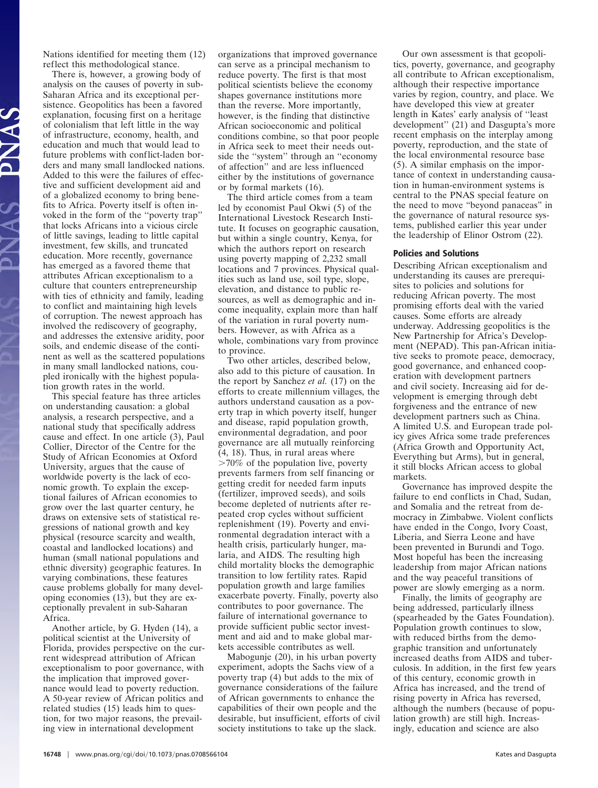Nations identified for meeting them (12) reflect this methodological stance.

There is, however, a growing body of analysis on the causes of poverty in sub-Saharan Africa and its exceptional persistence. Geopolitics has been a favored explanation, focusing first on a heritage of colonialism that left little in the way of infrastructure, economy, health, and education and much that would lead to future problems with conflict-laden borders and many small landlocked nations. Added to this were the failures of effective and sufficient development aid and of a globalized economy to bring benefits to Africa. Poverty itself is often invoked in the form of the ''poverty trap'' that locks Africans into a vicious circle of little savings, leading to little capital investment, few skills, and truncated education. More recently, governance has emerged as a favored theme that attributes African exceptionalism to a culture that counters entrepreneurship with ties of ethnicity and family, leading to conflict and maintaining high levels of corruption. The newest approach has involved the rediscovery of geography, and addresses the extensive aridity, poor soils, and endemic disease of the continent as well as the scattered populations in many small landlocked nations, coupled ironically with the highest population growth rates in the world.

This special feature has three articles on understanding causation: a global analysis, a research perspective, and a national study that specifically address cause and effect. In one article (3), Paul Collier, Director of the Centre for the Study of African Economies at Oxford University, argues that the cause of worldwide poverty is the lack of economic growth. To explain the exceptional failures of African economies to grow over the last quarter century, he draws on extensive sets of statistical regressions of national growth and key physical (resource scarcity and wealth, coastal and landlocked locations) and human (small national populations and ethnic diversity) geographic features. In varying combinations, these features cause problems globally for many developing economies (13), but they are exceptionally prevalent in sub-Saharan Africa.

Another article, by G. Hyden (14), a political scientist at the University of Florida, provides perspective on the current widespread attribution of African exceptionalism to poor governance, with the implication that improved governance would lead to poverty reduction. A 50-year review of African politics and related studies (15) leads him to question, for two major reasons, the prevailing view in international development

organizations that improved governance can serve as a principal mechanism to reduce poverty. The first is that most political scientists believe the economy shapes governance institutions more than the reverse. More importantly, however, is the finding that distinctive African socioeconomic and political conditions combine, so that poor people in Africa seek to meet their needs outside the "system" through an "economy of affection'' and are less influenced either by the institutions of governance or by formal markets (16).

The third article comes from a team led by economist Paul Okwi (5) of the International Livestock Research Institute. It focuses on geographic causation, but within a single country, Kenya, for which the authors report on research using poverty mapping of 2,232 small locations and 7 provinces. Physical qualities such as land use, soil type, slope, elevation, and distance to public resources, as well as demographic and income inequality, explain more than half of the variation in rural poverty numbers. However, as with Africa as a whole, combinations vary from province to province.

Two other articles, described below, also add to this picture of causation. In the report by Sanchez *et al.* (17) on the efforts to create millennium villages, the authors understand causation as a poverty trap in which poverty itself, hunger and disease, rapid population growth, environmental degradation, and poor governance are all mutually reinforcing (4, 18). Thus, in rural areas where  $>70\%$  of the population live, poverty prevents farmers from self financing or getting credit for needed farm inputs (fertilizer, improved seeds), and soils become depleted of nutrients after repeated crop cycles without sufficient replenishment (19). Poverty and environmental degradation interact with a health crisis, particularly hunger, malaria, and AIDS. The resulting high child mortality blocks the demographic transition to low fertility rates. Rapid population growth and large families exacerbate poverty. Finally, poverty also contributes to poor governance. The failure of international governance to provide sufficient public sector investment and aid and to make global markets accessible contributes as well.

Mabogunje (20), in his urban poverty experiment, adopts the Sachs view of a poverty trap (4) but adds to the mix of governance considerations of the failure of African governments to enhance the capabilities of their own people and the desirable, but insufficient, efforts of civil society institutions to take up the slack.

Our own assessment is that geopolitics, poverty, governance, and geography all contribute to African exceptionalism, although their respective importance varies by region, country, and place. We have developed this view at greater length in Kates' early analysis of ''least development'' (21) and Dasgupta's more recent emphasis on the interplay among poverty, reproduction, and the state of the local environmental resource base (5). A similar emphasis on the importance of context in understanding causation in human-environment systems is central to the PNAS special feature on the need to move "beyond panaceas" in the governance of natural resource systems, published earlier this year under the leadership of Elinor Ostrom (22).

#### **Policies and Solutions**

Describing African exceptionalism and understanding its causes are prerequisites to policies and solutions for reducing African poverty. The most promising efforts deal with the varied causes. Some efforts are already underway. Addressing geopolitics is the New Partnership for Africa's Development (NEPAD). This pan-African initiative seeks to promote peace, democracy, good governance, and enhanced cooperation with development partners and civil society. Increasing aid for development is emerging through debt forgiveness and the entrance of new development partners such as China. A limited U.S. and European trade policy gives Africa some trade preferences (Africa Growth and Opportunity Act, Everything but Arms), but in general, it still blocks African access to global markets.

Governance has improved despite the failure to end conflicts in Chad, Sudan, and Somalia and the retreat from democracy in Zimbabwe. Violent conflicts have ended in the Congo, Ivory Coast, Liberia, and Sierra Leone and have been prevented in Burundi and Togo. Most hopeful has been the increasing leadership from major African nations and the way peaceful transitions of power are slowly emerging as a norm.

Finally, the limits of geography are being addressed, particularly illness (spearheaded by the Gates Foundation). Population growth continues to slow, with reduced births from the demographic transition and unfortunately increased deaths from AIDS and tuberculosis. In addition, in the first few years of this century, economic growth in Africa has increased, and the trend of rising poverty in Africa has reversed, although the numbers (because of population growth) are still high. Increasingly, education and science are also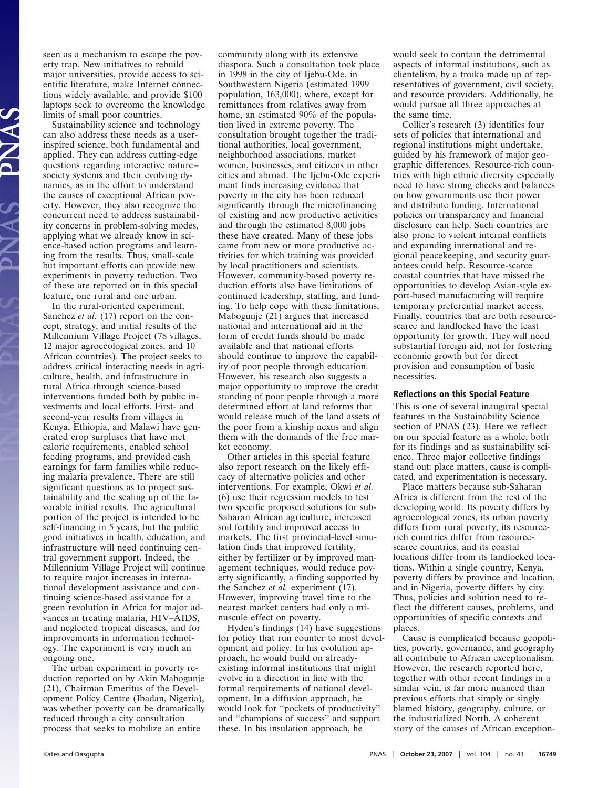seen as a mechanism to escape the poverty trap. New initiatives to rebuild major universities, provide access to scientific literature, make Internet connections widely available, and provide \$100 laptops seek to overcome the knowledge limits of small poor countries.

Sustainability science and technology can also address these needs as a userinspired science, both fundamental and applied. They can address cutting-edge questions regarding interactive nature– society systems and their evolving dynamics, as in the effort to understand the causes of exceptional African poverty. However, they also recognize the concurrent need to address sustainability concerns in problem-solving modes, applying what we already know in science-based action programs and learning from the results. Thus, small-scale but important efforts can provide new experiments in poverty reduction. Two of these are reported on in this special feature, one rural and one urban.

In the rural-oriented experiment, Sanchez *et al.* (17) report on the concept, strategy, and initial results of the Millennium Village Project (78 villages, 12 major agroecological zones, and 10 African countries). The project seeks to address critical interacting needs in agriculture, health, and infrastructure in rural Africa through science-based interventions funded both by public investments and local efforts. First- and second-year results from villages in Kenya, Ethiopia, and Malawi have generated crop surpluses that have met caloric requirements, enabled school feeding programs, and provided cash earnings for farm families while reducing malaria prevalence. There are still significant questions as to project sustainability and the scaling up of the favorable initial results. The agricultural portion of the project is intended to be self-financing in 5 years, but the public good initiatives in health, education, and infrastructure will need continuing central government support. Indeed, the Millennium Village Project will continue to require major increases in international development assistance and continuing science-based assistance for a green revolution in Africa for major advances in treating malaria, HIV–AIDS, and neglected tropical diseases, and for improvements in information technology. The experiment is very much an ongoing one.

The urban experiment in poverty reduction reported on by Akin Mabogunje (21), Chairman Emeritus of the Development Policy Centre (Ibadan, Nigeria), was whether poverty can be dramatically reduced through a city consultation process that seeks to mobilize an entire

community along with its extensive diaspora. Such a consultation took place in 1998 in the city of Ijebu-Ode, in Southwestern Nigeria (estimated 1999 population, 163,000), where, except for remittances from relatives away from home, an estimated 90% of the population lived in extreme poverty. The consultation brought together the traditional authorities, local government, neighborhood associations, market women, businesses, and citizens in other cities and abroad. The Ijebu-Ode experiment finds increasing evidence that poverty in the city has been reduced significantly through the microfinancing of existing and new productive activities and through the estimated 8,000 jobs these have created. Many of these jobs came from new or more productive activities for which training was provided by local practitioners and scientists. However, community-based poverty reduction efforts also have limitations of continued leadership, staffing, and funding. To help cope with these limitations, Mabogunje (21) argues that increased national and international aid in the form of credit funds should be made available and that national efforts should continue to improve the capability of poor people through education. However, his research also suggests a major opportunity to improve the credit standing of poor people through a more determined effort at land reforms that would release much of the land assets of the poor from a kinship nexus and align them with the demands of the free market economy.

Other articles in this special feature also report research on the likely efficacy of alternative policies and other interventions. For example, Okwi *et al.* (6) use their regression models to test two specific proposed solutions for sub-Saharan African agriculture, increased soil fertility and improved access to markets. The first provincial-level simulation finds that improved fertility, either by fertilizer or by improved management techniques, would reduce poverty significantly, a finding supported by the Sanchez *et al.* experiment (17). However, improving travel time to the nearest market centers had only a minuscule effect on poverty.

Hyden's findings (14) have suggestions for policy that run counter to most development aid policy. In his evolution approach, he would build on alreadyexisting informal institutions that might evolve in a direction in line with the formal requirements of national development. In a diffusion approach, he would look for ''pockets of productivity'' and ''champions of success'' and support these. In his insulation approach, he

would seek to contain the detrimental aspects of informal institutions, such as clientelism, by a troika made up of representatives of government, civil society, and resource providers. Additionally, he would pursue all three approaches at the same time.

Collier's research (3) identifies four sets of policies that international and regional institutions might undertake, guided by his framework of major geographic differences. Resource-rich countries with high ethnic diversity especially need to have strong checks and balances on how governments use their power and distribute funding. International policies on transparency and financial disclosure can help. Such countries are also prone to violent internal conflicts and expanding international and regional peacekeeping, and security guarantees could help. Resource-scarce coastal countries that have missed the opportunities to develop Asian-style export-based manufacturing will require temporary preferential market access. Finally, countries that are both resourcescarce and landlocked have the least opportunity for growth. They will need substantial foreign aid, not for fostering economic growth but for direct provision and consumption of basic necessities.

#### **Reflections on this Special Feature**

This is one of several inaugural special features in the Sustainability Science section of PNAS (23). Here we reflect on our special feature as a whole, both for its findings and as sustainability science. Three major collective findings stand out: place matters, cause is complicated, and experimentation is necessary.

Place matters because sub-Saharan Africa is different from the rest of the developing world. Its poverty differs by agroecological zones, its urban poverty differs from rural poverty, its resourcerich countries differ from resourcescarce countries, and its coastal locations differ from its landlocked locations. Within a single country, Kenya, poverty differs by province and location, and in Nigeria, poverty differs by city. Thus, policies and solution need to reflect the different causes, problems, and opportunities of specific contexts and places.

Cause is complicated because geopolitics, poverty, governance, and geography all contribute to African exceptionalism. However, the research reported here, together with other recent findings in a similar vein, is far more nuanced than previous efforts that simply or singly blamed history, geography, culture, or the industrialized North. A coherent story of the causes of African exception